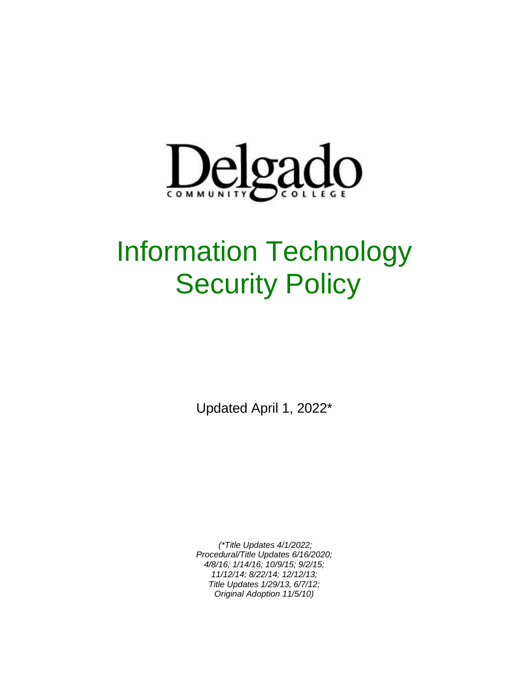

# Information Technology **Security Policy**

Updated April 1, 2022\*

*(\*Title Updates 4/1/2022; Procedural/Title Updates 6/16/2020; 4/8/16; 1/14/16; 10/9/15; 9/2/15; 11/12/14; 8/22/14; 12/12/13; Title Updates 1/29/13, 6/7/12; Original Adoption 11/5/10)*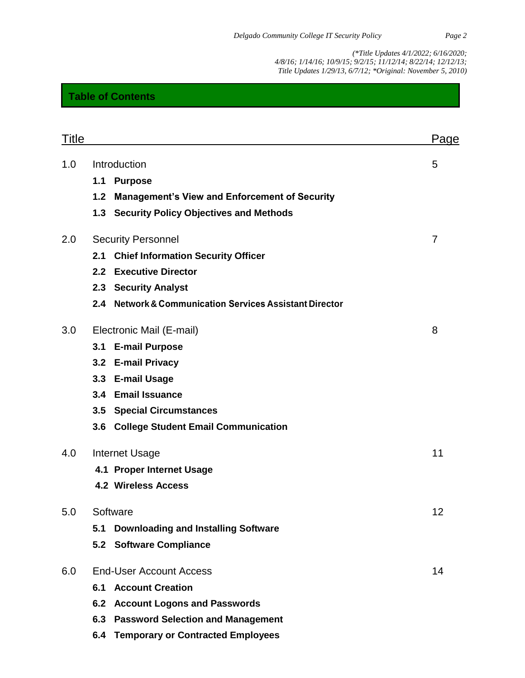## **Table of Contents**

| <b>Title</b> |                                |                                                         | Page |
|--------------|--------------------------------|---------------------------------------------------------|------|
| 1.0          | Introduction                   |                                                         | 5    |
|              | 1.1                            | <b>Purpose</b>                                          |      |
|              | 1.2                            | <b>Management's View and Enforcement of Security</b>    |      |
|              |                                | 1.3 Security Policy Objectives and Methods              |      |
| 2.0          | <b>Security Personnel</b>      |                                                         | 7    |
|              | 2.1                            | <b>Chief Information Security Officer</b>               |      |
|              |                                | 2.2 Executive Director                                  |      |
|              |                                | 2.3 Security Analyst                                    |      |
|              |                                | 2.4 Network & Communication Services Assistant Director |      |
| 3.0          |                                | Electronic Mail (E-mail)                                | 8    |
|              |                                | 3.1 E-mail Purpose                                      |      |
|              |                                | 3.2 E-mail Privacy                                      |      |
|              |                                | 3.3 E-mail Usage                                        |      |
|              |                                | 3.4 Email Issuance                                      |      |
|              | 3.5                            | <b>Special Circumstances</b>                            |      |
|              |                                | 3.6 College Student Email Communication                 |      |
| 4.0          | <b>Internet Usage</b>          |                                                         | 11   |
|              |                                | 4.1 Proper Internet Usage                               |      |
|              |                                | <b>4.2 Wireless Access</b>                              |      |
| 5.0          | Software                       |                                                         | 12   |
|              | 5.1                            | <b>Downloading and Installing Software</b>              |      |
|              |                                | 5.2 Software Compliance                                 |      |
| 6.0          | <b>End-User Account Access</b> |                                                         | 14   |
|              | 6.1                            | <b>Account Creation</b>                                 |      |
|              | 6.2                            | <b>Account Logons and Passwords</b>                     |      |
|              |                                | 6.3 Password Selection and Management                   |      |
|              |                                | 6.4 Temporary or Contracted Employees                   |      |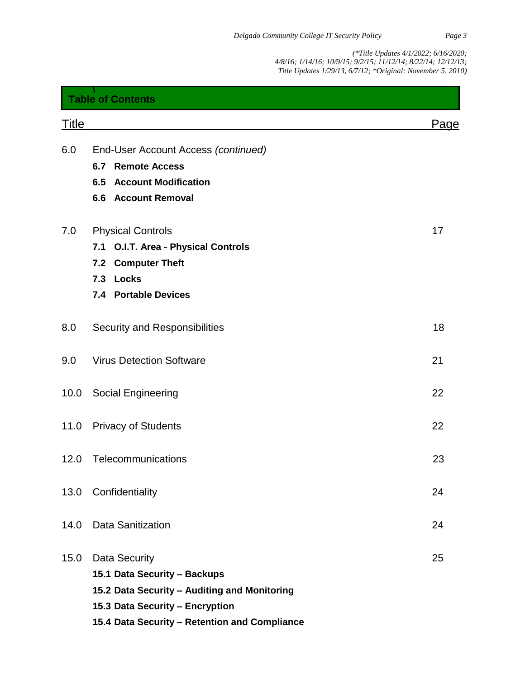| <b>Table of Contents</b> |                                                                                                                                                                                          |      |
|--------------------------|------------------------------------------------------------------------------------------------------------------------------------------------------------------------------------------|------|
| <b>Title</b>             |                                                                                                                                                                                          | Page |
| 6.0                      | End-User Account Access (continued)<br><b>Remote Access</b><br>6.7<br><b>Account Modification</b><br>6.5<br><b>6.6 Account Removal</b>                                                   |      |
| 7.0                      | <b>Physical Controls</b><br>O.I.T. Area - Physical Controls<br>7.1<br><b>Computer Theft</b><br>7.2<br><b>Locks</b><br>7.3<br><b>Portable Devices</b><br>7.4                              | 17   |
| 8.0                      | Security and Responsibilities                                                                                                                                                            | 18   |
| 9.0                      | <b>Virus Detection Software</b>                                                                                                                                                          | 21   |
| 10.0                     | <b>Social Engineering</b>                                                                                                                                                                | 22   |
| 11.0                     | <b>Privacy of Students</b>                                                                                                                                                               | 22   |
| 12.0                     | Telecommunications                                                                                                                                                                       | 23   |
| 13.0                     | Confidentiality                                                                                                                                                                          | 24   |
| 14.0                     | <b>Data Sanitization</b>                                                                                                                                                                 | 24   |
| 15.0                     | <b>Data Security</b><br>15.1 Data Security - Backups<br>15.2 Data Security - Auditing and Monitoring<br>15.3 Data Security - Encryption<br>15.4 Data Security - Retention and Compliance | 25   |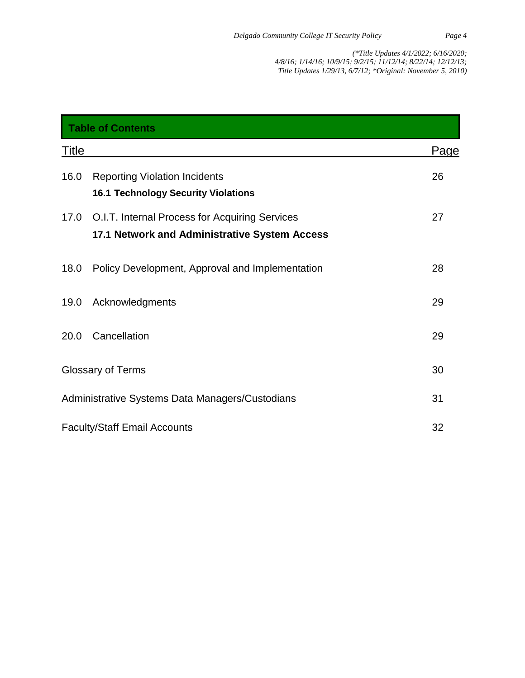| <b>Table of Contents</b>                        |                                                                                                 |             |  |  |
|-------------------------------------------------|-------------------------------------------------------------------------------------------------|-------------|--|--|
| <b>Title</b>                                    |                                                                                                 | <u>Page</u> |  |  |
| 16.0                                            | <b>Reporting Violation Incidents</b><br><b>16.1 Technology Security Violations</b>              | 26          |  |  |
| 17.0                                            | O.I.T. Internal Process for Acquiring Services<br>17.1 Network and Administrative System Access | 27          |  |  |
| 18.0                                            | Policy Development, Approval and Implementation                                                 | 28          |  |  |
| 19.0                                            | Acknowledgments                                                                                 | 29          |  |  |
| 20.0                                            | Cancellation                                                                                    | 29          |  |  |
|                                                 | Glossary of Terms                                                                               | 30          |  |  |
| Administrative Systems Data Managers/Custodians |                                                                                                 | 31          |  |  |
| <b>Faculty/Staff Email Accounts</b><br>32       |                                                                                                 |             |  |  |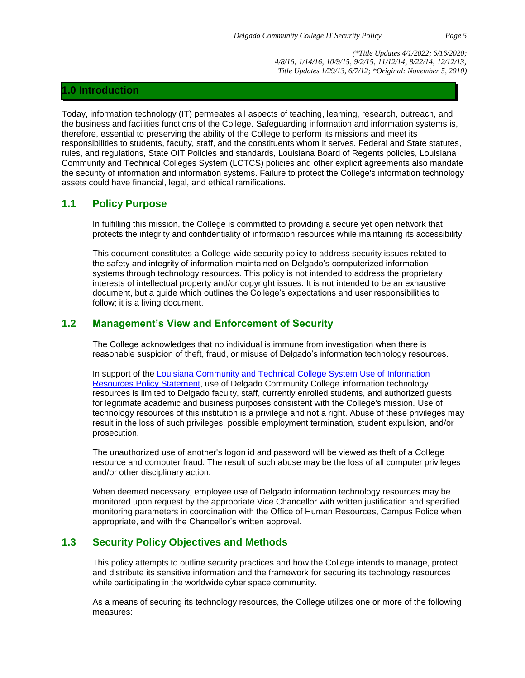## **1.0 Introduction**

Today, information technology (IT) permeates all aspects of teaching, learning, research, outreach, and the business and facilities functions of the College. Safeguarding information and information systems is, therefore, essential to preserving the ability of the College to perform its missions and meet its responsibilities to students, faculty, staff, and the constituents whom it serves. Federal and State statutes, rules, and regulations, State OIT Policies and standards, Louisiana Board of Regents policies, Louisiana Community and Technical Colleges System (LCTCS) policies and other explicit agreements also mandate the security of information and information systems. Failure to protect the College's information technology assets could have financial, legal, and ethical ramifications.

## **1.1 Policy Purpose**

In fulfilling this mission, the College is committed to providing a secure yet open network that protects the integrity and confidentiality of information resources while maintaining its accessibility.

This document constitutes a College-wide security policy to address security issues related to the safety and integrity of information maintained on Delgado's computerized information systems through technology resources. This policy is not intended to address the proprietary interests of intellectual property and/or copyright issues. It is not intended to be an exhaustive document, but a guide which outlines the College's expectations and user responsibilities to follow; it is a living document.

## **1.2 Management's View and Enforcement of Security**

The College acknowledges that no individual is immune from investigation when there is reasonable suspicion of theft, fraud, or misuse of Delgado's information technology resources.

In support of the [Louisiana Community and Technical College System Use of](https://campussuite-storage.s3.amazonaws.com/prod/1558543/91b64910-2d2e-11e8-8c09-0a7155647e8a/1778125/0053f2d2-584f-11e8-818a-12be56b8d5f6/file/7002_Use-of-Information-Resources-Policy-Statement_12132016.pdf) Information [Resources Policy Statement,](https://campussuite-storage.s3.amazonaws.com/prod/1558543/91b64910-2d2e-11e8-8c09-0a7155647e8a/1778125/0053f2d2-584f-11e8-818a-12be56b8d5f6/file/7002_Use-of-Information-Resources-Policy-Statement_12132016.pdf) use of Delgado Community College information technology resources is limited to Delgado faculty, staff, currently enrolled students, and authorized guests, for legitimate academic and business purposes consistent with the College's mission. Use of technology resources of this institution is a privilege and not a right. Abuse of these privileges may result in the loss of such privileges, possible employment termination, student expulsion, and/or prosecution.

The unauthorized use of another's logon id and password will be viewed as theft of a College resource and computer fraud. The result of such abuse may be the loss of all computer privileges and/or other disciplinary action.

When deemed necessary, employee use of Delgado information technology resources may be monitored upon request by the appropriate Vice Chancellor with written justification and specified monitoring parameters in coordination with the Office of Human Resources, Campus Police when appropriate, and with the Chancellor's written approval.

## **1.3 Security Policy Objectives and Methods**

This policy attempts to outline security practices and how the College intends to manage, protect and distribute its sensitive information and the framework for securing its technology resources while participating in the worldwide cyber space community.

As a means of securing its technology resources, the College utilizes one or more of the following measures: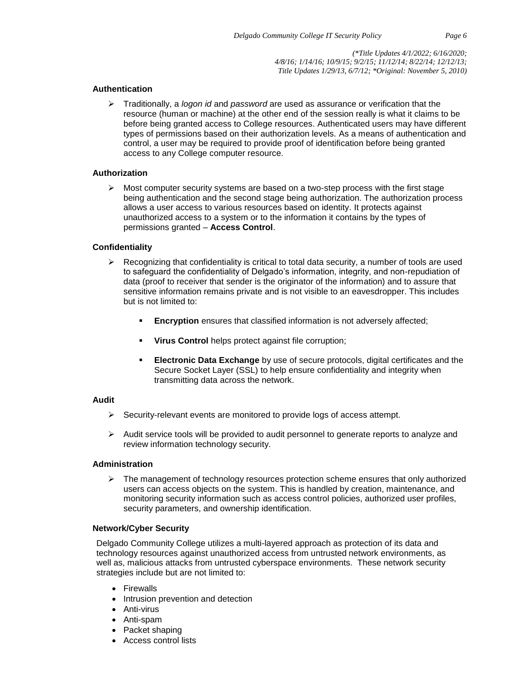#### **Authentication**

➢ Traditionally, a *logon id* and *password* are used as assurance or verification that the resource (human or machine) at the other end of the session really is what it claims to be before being granted access to College resources. Authenticated users may have different types of permissions based on their authorization levels. As a means of authentication and control, a user may be required to provide proof of identification before being granted access to any College computer resource.

#### **Authorization**

 $\triangleright$  Most computer security systems are based on a two-step process with the first stage being authentication and the second stage being authorization. The authorization process allows a user access to various resources based on identity. It protects against unauthorized access to a system or to the information it contains by the types of permissions granted – **Access Control**.

#### **Confidentiality**

- $\triangleright$  Recognizing that confidentiality is critical to total data security, a number of tools are used to safeguard the confidentiality of Delgado's information, integrity, and non-repudiation of data (proof to receiver that sender is the originator of the information) and to assure that sensitive information remains private and is not visible to an eavesdropper. This includes but is not limited to:
	- **Encryption** ensures that classified information is not adversely affected;
	- **Virus Control helps protect against file corruption;**
	- **Electronic Data Exchange** by use of secure protocols, digital certificates and the [Secure Socket Layer \(SSL\)](http://publib.boulder.ibm.com/infocenter/iseries/v5r3/topic/rzain/rzainoverview.htm) to help ensure confidentiality and integrity when transmitting data across the network.

#### **Audit**

- ➢ Security-relevant events are monitored to provide logs of access attempt.
- $\triangleright$  Audit service tools will be provided to audit personnel to generate reports to analyze and review information technology security.

#### **Administration**

 $\triangleright$  The management of technology resources protection scheme ensures that only authorized users can access objects on the system. This is handled by creation, maintenance, and monitoring security information such as access control policies, authorized user profiles, security parameters, and ownership identification.

#### **Network/Cyber Security**

Delgado Community College utilizes a multi-layered approach as protection of its data and technology resources against unauthorized access from untrusted network environments, as well as, malicious attacks from untrusted cyberspace environments. These network security strategies include but are not limited to:

- Firewalls
- Intrusion prevention and detection
- Anti-virus
- Anti-spam
- Packet shaping
- Access control lists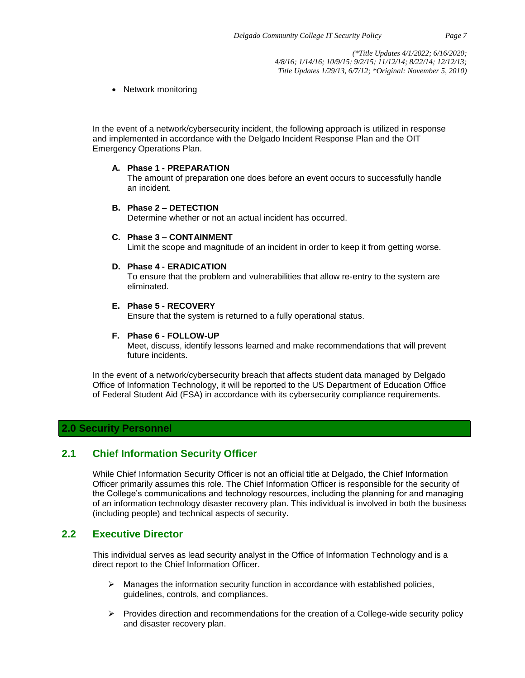• Network monitoring

In the event of a network/cybersecurity incident, the following approach is utilized in response and implemented in accordance with the Delgado Incident Response Plan and the OIT Emergency Operations Plan.

#### **A. Phase 1 - PREPARATION**

The amount of preparation one does before an event occurs to successfully handle an incident.

#### **B. Phase 2 – DETECTION**

Determine whether or not an actual incident has occurred.

#### **C. Phase 3 – CONTAINMENT**

Limit the scope and magnitude of an incident in order to keep it from getting worse.

#### **D. Phase 4 - ERADICATION**

To ensure that the problem and vulnerabilities that allow re-entry to the system are eliminated.

#### **E. Phase 5 - RECOVERY**

Ensure that the system is returned to a fully operational status.

#### **F. Phase 6 - FOLLOW-UP**

Meet, discuss, identify lessons learned and make recommendations that will prevent future incidents.

In the event of a network/cybersecurity breach that affects student data managed by Delgado Office of Information Technology, it will be reported to the US Department of Education Office of Federal Student Aid (FSA) in accordance with its cybersecurity compliance requirements.

## **2.0 Security Personnel**

## **2.1 Chief Information Security Officer**

While Chief Information Security Officer is not an official title at Delgado, the Chief Information Officer primarily assumes this role. The Chief Information Officer is responsible for the security of the College's communications and technology resources, including the planning for and managing of an information technology disaster recovery plan. This individual is involved in both the business (including people) and technical aspects of security.

## **2.2 Executive Director**

This individual serves as lead security analyst in the Office of Information Technology and is a direct report to the Chief Information Officer.

- $\triangleright$  Manages the information security function in accordance with established policies, guidelines, controls, and compliances.
- $\triangleright$  Provides direction and recommendations for the creation of a College-wide security policy and disaster recovery plan.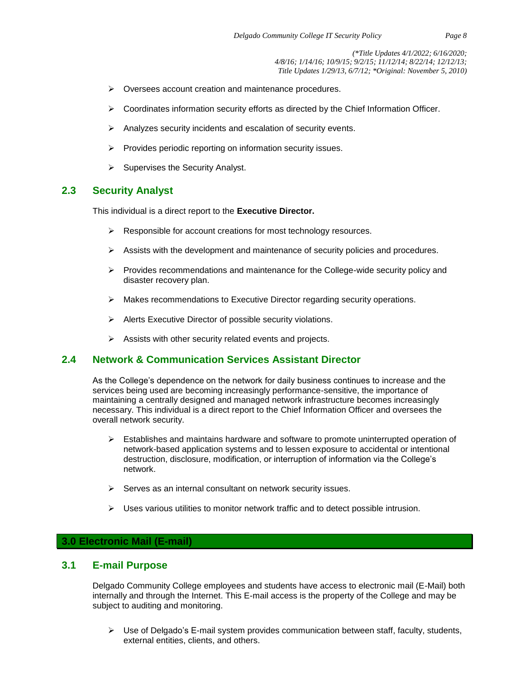- ➢ Oversees account creation and maintenance procedures.
- $\triangleright$  Coordinates information security efforts as directed by the Chief Information Officer.
- ➢ Analyzes security incidents and escalation of security events.
- ➢ Provides periodic reporting on information security issues.
- $\triangleright$  Supervises the Security Analyst.

## **2.3 Security Analyst**

This individual is a direct report to the **Executive Director.**

- ➢ Responsible for account creations for most technology resources.
- $\triangleright$  Assists with the development and maintenance of security policies and procedures.
- $\triangleright$  Provides recommendations and maintenance for the College-wide security policy and disaster recovery plan.
- ➢ Makes recommendations to Executive Director regarding security operations.
- ➢ Alerts Executive Director of possible security violations.
- $\triangleright$  Assists with other security related events and projects.

## **2.4 Network & Communication Services Assistant Director**

As the College's dependence on the network for daily business continues to increase and the services being used are becoming increasingly performance-sensitive, the importance of maintaining a centrally designed and managed network infrastructure becomes increasingly necessary. This individual is a direct report to the Chief Information Officer and oversees the overall network security.

- $\triangleright$  Establishes and maintains hardware and software to promote uninterrupted operation of network-based application systems and to lessen exposure to accidental or intentional destruction, disclosure, modification, or interruption of information via the College's network.
- ➢ Serves as an internal consultant on network security issues.
- $\triangleright$  Uses various utilities to monitor network traffic and to detect possible intrusion.

## **3.0 Electronic Mail (E-mail)**

## **3.1 E-mail Purpose**

Delgado Community College employees and students have access to electronic mail (E-Mail) both internally and through the Internet. This E-mail access is the property of the College and may be subject to auditing and monitoring.

➢ Use of Delgado's E-mail system provides communication between staff, faculty, students, external entities, clients, and others.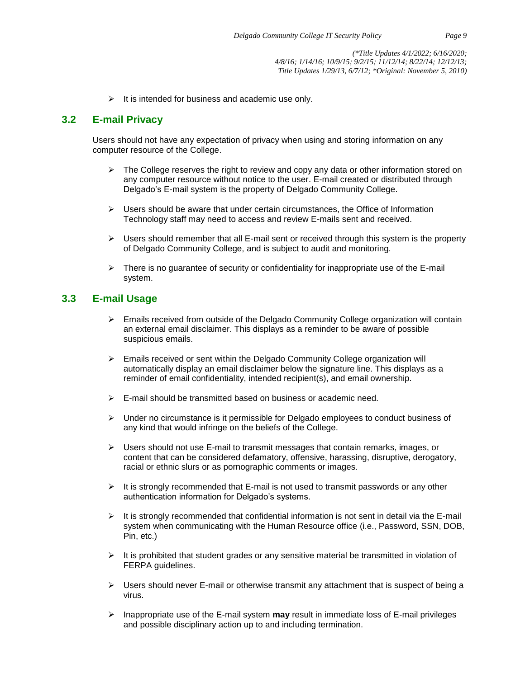$\triangleright$  It is intended for business and academic use only.

## **3.2 E-mail Privacy**

Users should not have any expectation of privacy when using and storing information on any computer resource of the College.

- $\triangleright$  The College reserves the right to review and copy any data or other information stored on any computer resource without notice to the user. E-mail created or distributed through Delgado's E-mail system is the property of Delgado Community College.
- $\triangleright$  Users should be aware that under certain circumstances, the Office of Information Technology staff may need to access and review E-mails sent and received.
- $\triangleright$  Users should remember that all E-mail sent or received through this system is the property of Delgado Community College, and is subject to audit and monitoring.
- $\triangleright$  There is no guarantee of security or confidentiality for inappropriate use of the E-mail system.

## **3.3 E-mail Usage**

- ➢ Emails received from outside of the Delgado Community College organization will contain an external email disclaimer. This displays as a reminder to be aware of possible suspicious emails.
- $\triangleright$  Emails received or sent within the Delgado Community College organization will automatically display an email disclaimer below the signature line. This displays as a reminder of email confidentiality, intended recipient(s), and email ownership.
- $\triangleright$  E-mail should be transmitted based on business or academic need.
- $\triangleright$  Under no circumstance is it permissible for Delgado employees to conduct business of any kind that would infringe on the beliefs of the College.
- $\triangleright$  Users should not use E-mail to transmit messages that contain remarks, images, or content that can be considered defamatory, offensive, harassing, disruptive, derogatory, racial or ethnic slurs or as pornographic comments or images.
- $\triangleright$  It is strongly recommended that E-mail is not used to transmit passwords or any other authentication information for Delgado's systems.
- $\triangleright$  It is strongly recommended that confidential information is not sent in detail via the E-mail system when communicating with the Human Resource office (i.e., Password, SSN, DOB, Pin, etc.)
- $\triangleright$  It is prohibited that student grades or any sensitive material be transmitted in violation of FERPA guidelines.
- $\triangleright$  Users should never E-mail or otherwise transmit any attachment that is suspect of being a virus.
- ➢ Inappropriate use of the E-mail system **may** result in immediate loss of E-mail privileges and possible disciplinary action up to and including termination.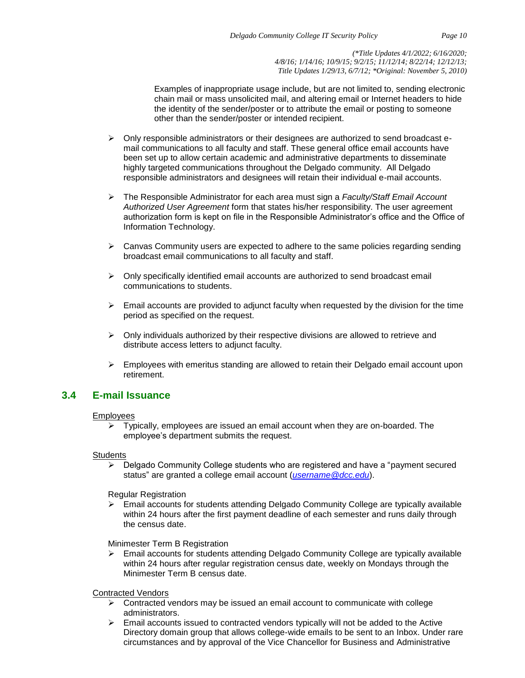Examples of inappropriate usage include, but are not limited to, sending electronic chain mail or mass unsolicited mail, and altering email or Internet headers to hide the identity of the sender/poster or to attribute the email or posting to someone other than the sender/poster or intended recipient.

- $\triangleright$  Only responsible administrators or their designees are authorized to send broadcast email communications to all faculty and staff. These general office email accounts have been set up to allow certain academic and administrative departments to disseminate highly targeted communications throughout the Delgado community. All Delgado responsible administrators and designees will retain their individual e-mail accounts.
- ➢ The Responsible Administrator for each area must sign a *Faculty/Staff Email Account Authorized User Agreement* form that states his/her responsibility. The user agreement authorization form is kept on file in the Responsible Administrator's office and the Office of Information Technology.
- $\triangleright$  Canvas Community users are expected to adhere to the same policies regarding sending broadcast email communications to all faculty and staff.
- $\triangleright$  Only specifically identified email accounts are authorized to send broadcast email communications to students.
- $\triangleright$  Email accounts are provided to adjunct faculty when requested by the division for the time period as specified on the request.
- $\triangleright$  Only individuals authorized by their respective divisions are allowed to retrieve and distribute access letters to adjunct faculty.
- $\triangleright$  Employees with emeritus standing are allowed to retain their Delgado email account upon retirement.

## **3.4 E-mail Issuance**

#### Employees

 $\triangleright$  Typically, employees are issued an email account when they are on-boarded. The employee's department submits the request.

#### **Students**

➢ Delgado Community College students who are registered and have a "payment secured status" are granted a college email account (*[username@dcc.edu](mailto:username@dcc.edu)*).

Regular Registration

➢ Email accounts for students attending Delgado Community College are typically available within 24 hours after the first payment deadline of each semester and runs daily through the census date.

Minimester Term B Registration

 $\triangleright$  Email accounts for students attending Delgado Community College are typically available within 24 hours after regular registration census date, weekly on Mondays through the Minimester Term B census date.

Contracted Vendors

- $\triangleright$  Contracted vendors may be issued an email account to communicate with college administrators.
- $\triangleright$  Email accounts issued to contracted vendors typically will not be added to the Active Directory domain group that allows college-wide emails to be sent to an Inbox. Under rare circumstances and by approval of the Vice Chancellor for Business and Administrative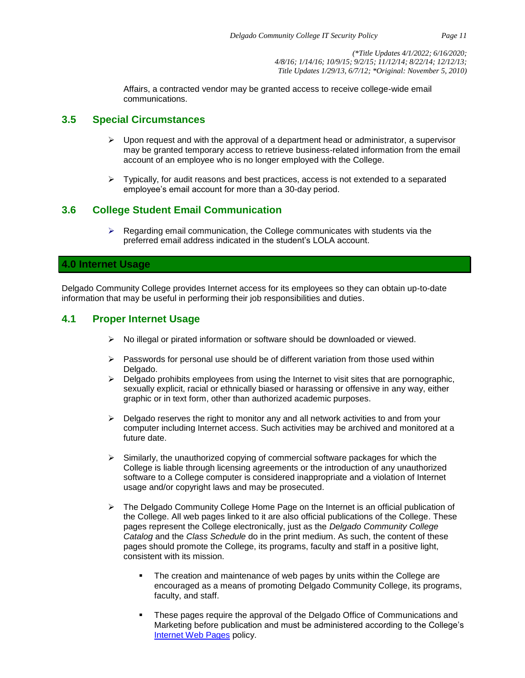Affairs, a contracted vendor may be granted access to receive college-wide email communications.

#### **3.5 Special Circumstances**

- $\triangleright$  Upon request and with the approval of a department head or administrator, a supervisor may be granted temporary access to retrieve business-related information from the email account of an employee who is no longer employed with the College.
- $\triangleright$  Typically, for audit reasons and best practices, access is not extended to a separated employee's email account for more than a 30-day period.

## **3.6 College Student Email Communication**

 $\triangleright$  Regarding email communication, the College communicates with students via the preferred email address indicated in the student's LOLA account.

#### **4.0 Internet Usage**

Delgado Community College provides Internet access for its employees so they can obtain up-to-date information that may be useful in performing their job responsibilities and duties.

## **4.1 Proper Internet Usage**

- ➢ No illegal or pirated information or software should be downloaded or viewed.
- $\triangleright$  Passwords for personal use should be of different variation from those used within Delgado.
- $\triangleright$  Delgado prohibits employees from using the Internet to visit sites that are pornographic, sexually explicit, racial or ethnically biased or harassing or offensive in any way, either graphic or in text form, other than authorized academic purposes.
- $\triangleright$  Delgado reserves the right to monitor any and all network activities to and from your computer including Internet access. Such activities may be archived and monitored at a future date.
- $\triangleright$  Similarly, the unauthorized copying of commercial software packages for which the College is liable through licensing agreements or the introduction of any unauthorized software to a College computer is considered inappropriate and a violation of Internet usage and/or copyright laws and may be prosecuted.
- ➢ The Delgado Community College Home Page on the Internet is an official publication of the College. All web pages linked to it are also official publications of the College. These pages represent the College electronically, just as the *Delgado Community College Catalog* and the *Class Schedule* do in the print medium. As such, the content of these pages should promote the College, its programs, faculty and staff in a positive light, consistent with its mission.
	- The creation and maintenance of web pages by units within the College are encouraged as a means of promoting Delgado Community College, its programs, faculty, and staff.
	- These pages require the approval of the Delgado Office of Communications and Marketing before publication and must be administered according to the College's [Internet Web Pages](http://docushare3.dcc.edu/docushare/dsweb/Get/Document-960/) policy.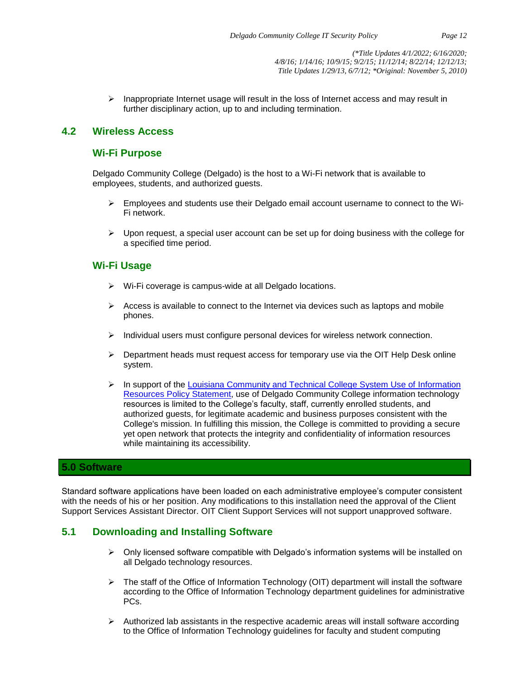$\triangleright$  Inappropriate Internet usage will result in the loss of Internet access and may result in further disciplinary action, up to and including termination.

## **4.2 Wireless Access**

## **Wi-Fi Purpose**

Delgado Community College (Delgado) is the host to a Wi-Fi network that is available to employees, students, and authorized guests.

- $\triangleright$  Employees and students use their Delgado email account username to connect to the Wi-Fi network.
- $\triangleright$  Upon request, a special user account can be set up for doing business with the college for a specified time period.

## **Wi-Fi Usage**

- ➢ Wi-Fi coverage is campus-wide at all Delgado locations.
- $\triangleright$  Access is available to connect to the Internet via devices such as laptops and mobile phones.
- $\triangleright$  Individual users must configure personal devices for wireless network connection.
- $\triangleright$  Department heads must request access for temporary use via the OIT Help Desk online system.
- ➢ In support of the [Louisiana Community and Technical College System Use of Information](https://campussuite-storage.s3.amazonaws.com/prod/1558543/91b64910-2d2e-11e8-8c09-0a7155647e8a/1778125/0053f2d2-584f-11e8-818a-12be56b8d5f6/file/7002_Use-of-Information-Resources-Policy-Statement_12132016.pdf)  [Resources Policy Statement,](https://campussuite-storage.s3.amazonaws.com/prod/1558543/91b64910-2d2e-11e8-8c09-0a7155647e8a/1778125/0053f2d2-584f-11e8-818a-12be56b8d5f6/file/7002_Use-of-Information-Resources-Policy-Statement_12132016.pdf) use of Delgado Community College information technology resources is limited to the College's faculty, staff, currently enrolled students, and authorized guests, for legitimate academic and business purposes consistent with the College's mission. In fulfilling this mission, the College is committed to providing a secure yet open network that protects the integrity and confidentiality of information resources while maintaining its accessibility.

## **5.0 Software**

Standard software applications have been loaded on each administrative employee's computer consistent with the needs of his or her position. Any modifications to this installation need the approval of the Client Support Services Assistant Director. OIT Client Support Services will not support unapproved software.

## **5.1 Downloading and Installing Software**

- $\triangleright$  Only licensed software compatible with Delgado's information systems will be installed on all Delgado technology resources.
- $\triangleright$  The staff of the Office of Information Technology (OIT) department will install the software according to the Office of Information Technology department guidelines for administrative PCs.
- $\triangleright$  Authorized lab assistants in the respective academic areas will install software according to the Office of Information Technology guidelines for faculty and student computing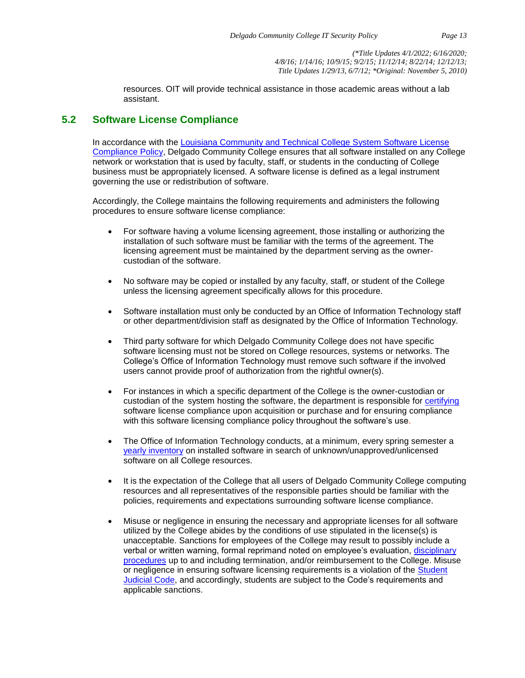resources. OIT will provide technical assistance in those academic areas without a lab assistant.

## **5.2 Software License Compliance**

In accordance with the [Louisiana Community and Technical College System Software License](https://campussuite-storage.s3.amazonaws.com/prod/1558543/91b64910-2d2e-11e8-8c09-0a7155647e8a/1778130/00540e70-584f-11e8-a46e-12be56b8d5f6/file/7007_LCTCS-Software-Licensing-Compliance_12132016.pdf)  [Compliance Policy,](https://campussuite-storage.s3.amazonaws.com/prod/1558543/91b64910-2d2e-11e8-8c09-0a7155647e8a/1778130/00540e70-584f-11e8-a46e-12be56b8d5f6/file/7007_LCTCS-Software-Licensing-Compliance_12132016.pdf) Delgado Community College ensures that all software installed on any College network or workstation that is used by faculty, staff, or students in the conducting of College business must be appropriately licensed. A software license is defined as a legal instrument governing the use or redistribution of software.

Accordingly, the College maintains the following requirements and administers the following procedures to ensure software license compliance:

- For software having a volume licensing agreement, those installing or authorizing the installation of such software must be familiar with the terms of the agreement. The licensing agreement must be maintained by the department serving as the ownercustodian of the software.
- No software may be copied or installed by any faculty, staff, or student of the College unless the licensing agreement specifically allows for this procedure.
- Software installation must only be conducted by an Office of Information Technology staff or other department/division staff as designated by the Office of Information Technology.
- Third party software for which Delgado Community College does not have specific software licensing must not be stored on College resources, systems or networks. The College's Office of Information Technology must remove such software if the involved users cannot provide proof of authorization from the rightful owner(s).
- For instances in which a specific department of the College is the owner-custodian or custodian of the system hosting the software, the department is responsible for [certifying](http://docushare3.dcc.edu/docushare/dsweb/Get/Document-5882/) software license compliance upon acquisition or purchase and for ensuring compliance with this software licensing compliance policy throughout the software's use.
- The Office of Information Technology conducts, at a minimum, every spring semester a [yearly inventory](http://docushare3.dcc.edu/docushare/dsweb/Get/Document-5882/) on installed software in search of unknown/unapproved/unlicensed software on all College resources.
- It is the expectation of the College that all users of Delgado Community College computing resources and all representatives of the responsible parties should be familiar with the policies, requirements and expectations surrounding software license compliance.
- Misuse or negligence in ensuring the necessary and appropriate licenses for all software utilized by the College abides by the conditions of use stipulated in the license(s) is unacceptable. Sanctions for employees of the College may result to possibly include a verbal or written warning, formal reprimand noted on employee's evaluation, [disciplinary](https://campussuite-storage.s3.amazonaws.com/prod/1558543/91b64910-2d2e-11e8-8c09-0a7155647e8a/1778099/005361a0-584f-11e8-89e8-12be56b8d5f6/file/6014_Discipline-For-All-Employees_12202016.pdf)  [procedures](https://campussuite-storage.s3.amazonaws.com/prod/1558543/91b64910-2d2e-11e8-8c09-0a7155647e8a/1778099/005361a0-584f-11e8-89e8-12be56b8d5f6/file/6014_Discipline-For-All-Employees_12202016.pdf) up to and including termination, and/or reimbursement to the College. Misuse or negligence in ensuring software licensing requirements is a violation of the [Student](http://docushare3.dcc.edu/docushare/dsweb/Get/Document-80/)  [Judicial Code,](http://docushare3.dcc.edu/docushare/dsweb/Get/Document-80/) and accordingly, students are subject to the Code's requirements and applicable sanctions.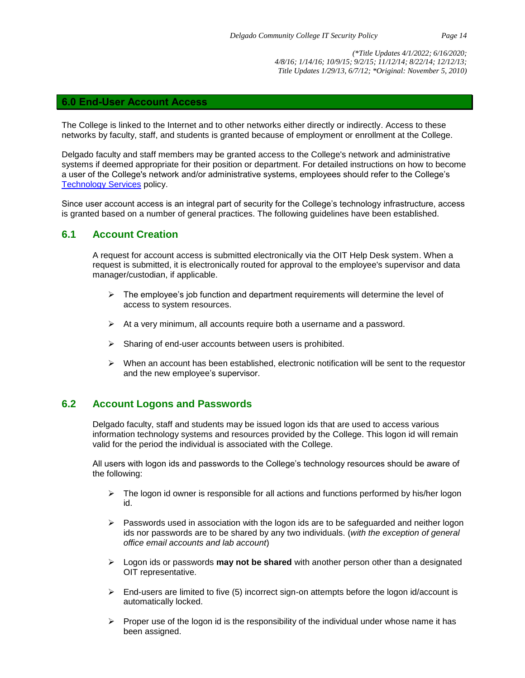#### **6.0 End-User Account Access**

The College is linked to the Internet and to other networks either directly or indirectly. Access to these networks by faculty, staff, and students is granted because of employment or enrollment at the College.

Delgado faculty and staff members may be granted access to the College's network and administrative systems if deemed appropriate for their position or department. For detailed instructions on how to become a user of the College's network and/or administrative systems, employees should refer to the College's [Technology Services](http://docushare3.dcc.edu/docushare/dsweb/Get/Document-40/1822-1E+Title+Update+5-12-10+for+web+distribution.pdf) policy.

Since user account access is an integral part of security for the College's technology infrastructure, access is granted based on a number of general practices. The following guidelines have been established.

## **6.1 Account Creation**

A request for account access is submitted electronically via the OIT Help Desk system. When a request is submitted, it is electronically routed for approval to the employee's supervisor and data manager/custodian, if applicable.

- $\triangleright$  The employee's job function and department requirements will determine the level of access to system resources.
- ➢ At a very minimum, all accounts require both a username and a password.
- ➢ Sharing of end-user accounts between users is prohibited.
- ➢ When an account has been established, electronic notification will be sent to the requestor and the new employee's supervisor.

## **6.2 Account Logons and Passwords**

Delgado faculty, staff and students may be issued logon ids that are used to access various information technology systems and resources provided by the College. This logon id will remain valid for the period the individual is associated with the College.

All users with logon ids and passwords to the College's technology resources should be aware of the following:

- $\triangleright$  The logon id owner is responsible for all actions and functions performed by his/her logon id.
- ➢ Passwords used in association with the logon ids are to be safeguarded and neither logon ids nor passwords are to be shared by any two individuals. (*with the exception of general office email accounts and lab account*)
- ➢ Logon ids or passwords **may not be shared** with another person other than a designated OIT representative.
- $\triangleright$  End-users are limited to five (5) incorrect sign-on attempts before the logon id/account is automatically locked.
- $\triangleright$  Proper use of the logon id is the responsibility of the individual under whose name it has been assigned.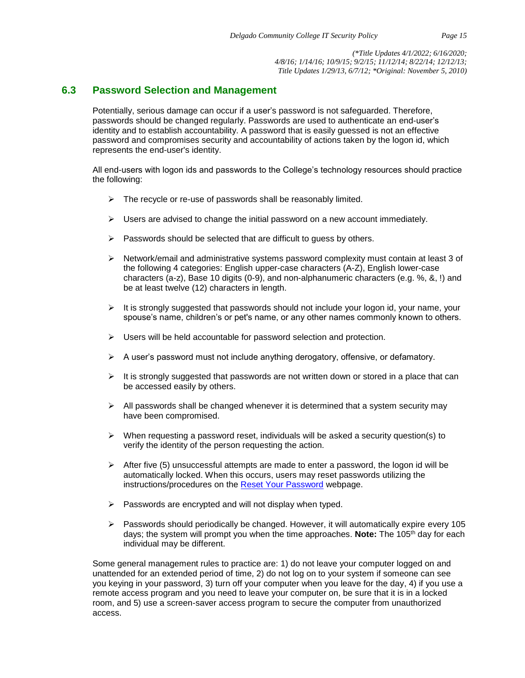## **6.3 Password Selection and Management**

Potentially, serious damage can occur if a user's password is not safeguarded. Therefore, passwords should be changed regularly. Passwords are used to authenticate an end-user's identity and to establish accountability. A password that is easily guessed is not an effective password and compromises security and accountability of actions taken by the logon id, which represents the end-user's identity.

All end-users with logon ids and passwords to the College's technology resources should practice the following:

- $\triangleright$  The recycle or re-use of passwords shall be reasonably limited.
- $\triangleright$  Users are advised to change the initial password on a new account immediately.
- $\triangleright$  Passwords should be selected that are difficult to quess by others.
- $\triangleright$  Network/email and administrative systems password complexity must contain at least 3 of the following 4 categories: English upper-case characters (A-Z), English lower-case characters (a-z), Base 10 digits (0-9), and non-alphanumeric characters (e.g. %, &, !) and be at least twelve (12) characters in length.
- $\triangleright$  It is strongly suggested that passwords should not include your logon id, your name, your spouse's name, children's or pet's name, or any other names commonly known to others.
- ➢ Users will be held accountable for password selection and protection.
- $\triangleright$  A user's password must not include anything derogatory, offensive, or defamatory.
- $\triangleright$  It is strongly suggested that passwords are not written down or stored in a place that can be accessed easily by others.
- $\triangleright$  All passwords shall be changed whenever it is determined that a system security may have been compromised.
- $\triangleright$  When requesting a password reset, individuals will be asked a security question(s) to verify the identity of the person requesting the action.
- $\triangleright$  After five (5) unsuccessful attempts are made to enter a password, the logon id will be automatically locked. When this occurs, users may reset passwords utilizing the instructions/procedures on the [Reset Your Password](https://password.dcc.edu/accounts/Reset) webpage.
- ➢ Passwords are encrypted and will not display when typed.
- $\triangleright$  Passwords should periodically be changed. However, it will automatically expire every 105 days; the system will prompt you when the time approaches. **Note:** The 105th day for each individual may be different.

Some general management rules to practice are: 1) do not leave your computer logged on and unattended for an extended period of time, 2) do not log on to your system if someone can see you keying in your password, 3) turn off your computer when you leave for the day, 4) if you use a remote access program and you need to leave your computer on, be sure that it is in a locked room, and 5) use a screen-saver access program to secure the computer from unauthorized access.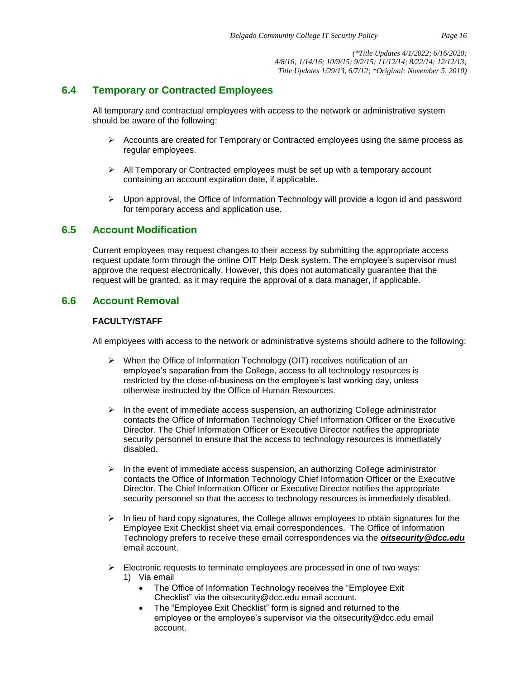## **6.4 Temporary or Contracted Employees**

All temporary and contractual employees with access to the network or administrative system should be aware of the following:

- $\triangleright$  Accounts are created for Temporary or Contracted employees using the same process as regular employees.
- $\triangleright$  All Temporary or Contracted employees must be set up with a temporary account containing an account expiration date, if applicable.
- $\triangleright$  Upon approval, the Office of Information Technology will provide a logon id and password for temporary access and application use.

## **6.5 Account Modification**

Current employees may request changes to their access by submitting the appropriate access request update form through the online OIT Help Desk system. The employee's supervisor must approve the request electronically. However, this does not automatically guarantee that the request will be granted, as it may require the approval of a data manager, if applicable.

## **6.6 Account Removal**

#### **FACULTY/STAFF**

All employees with access to the network or administrative systems should adhere to the following:

- ➢ When the Office of Information Technology (OIT) receives notification of an employee's separation from the College, access to all technology resources is restricted by the close-of-business on the employee's last working day, unless otherwise instructed by the Office of Human Resources.
- $\triangleright$  In the event of immediate access suspension, an authorizing College administrator contacts the Office of Information Technology Chief Information Officer or the Executive Director. The Chief Information Officer or Executive Director notifies the appropriate security personnel to ensure that the access to technology resources is immediately disabled.
- $\triangleright$  In the event of immediate access suspension, an authorizing College administrator contacts the Office of Information Technology Chief Information Officer or the Executive Director. The Chief Information Officer or Executive Director notifies the appropriate security personnel so that the access to technology resources is immediately disabled.
- ➢ In lieu of hard copy signatures, the College allows employees to obtain signatures for the Employee Exit Checklist sheet via email correspondences. The Office of Information Technology prefers to receive these email correspondences via the *oitsecurity@dcc.edu* email account.
- $\triangleright$  Electronic requests to terminate employees are processed in one of two ways: 1) Via email
	- The Office of Information Technology receives the "Employee Exit" Checklist" via the [oitsecurity@dcc.edu](mailto:oitsecurity@dcc.edu) email account.
	- The "Employee Exit Checklist" form is signed and returned to the employee or the employee's supervisor via the [oitsecurity@dcc.edu](mailto:oitsecurity@dcc.edu) email account.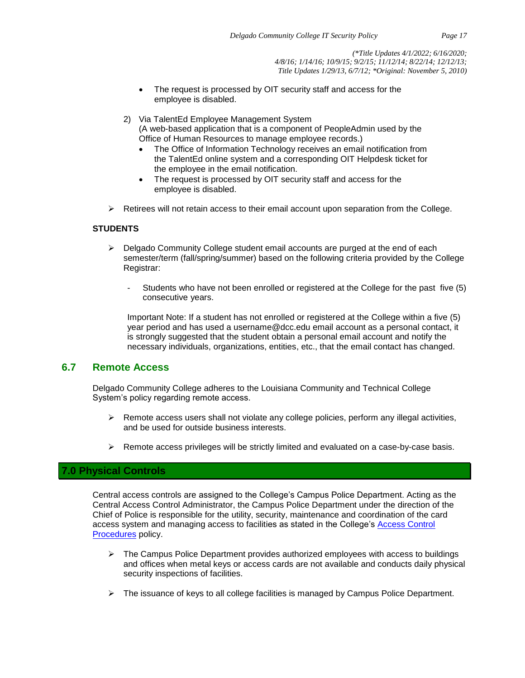- The request is processed by OIT security staff and access for the employee is disabled.
- 2) Via TalentEd Employee Management System (A web-based application that is a component of PeopleAdmin used by the Office of Human Resources to manage employee records.)
	- The Office of Information Technology receives an email notification from the TalentEd online system and a corresponding OIT Helpdesk ticket for the employee in the email notification.
	- The request is processed by OIT security staff and access for the employee is disabled.
- $\triangleright$  Retirees will not retain access to their email account upon separation from the College.

#### **STUDENTS**

- $\triangleright$  Delgado Community College student email accounts are purged at the end of each semester/term (fall/spring/summer) based on the following criteria provided by the College Registrar:
	- Students who have not been enrolled or registered at the College for the past five (5) consecutive years.

Important Note: If a student has not enrolled or registered at the College within a five (5) year period and has used a username@dcc.edu email account as a personal contact, it is strongly suggested that the student obtain a personal email account and notify the necessary individuals, organizations, entities, etc., that the email contact has changed.

## **6.7 Remote Access**

Delgado Community College adheres to the Louisiana Community and Technical College System's policy regarding remote access.

- $\triangleright$  Remote access users shall not violate any college policies, perform any illegal activities, and be used for outside business interests.
- $\triangleright$  Remote access privileges will be strictly limited and evaluated on a case-by-case basis.

## **7.0 Physical Controls**

Central access controls are assigned to the College's Campus Police Department. Acting as the Central Access Control Administrator, the Campus Police Department under the direction of the Chief of Police is responsible for the utility, security, maintenance and coordination of the card access system and managing access to facilities as stated in the College's [Access Control](http://docushare3.dcc.edu/docushare/dsweb/Get/Document-403/1370-1a+with+updated+access+form+2010+for+web+distribution.pdf)  [Procedures](http://docushare3.dcc.edu/docushare/dsweb/Get/Document-403/1370-1a+with+updated+access+form+2010+for+web+distribution.pdf) policy.

- $\triangleright$  The Campus Police Department provides authorized employees with access to buildings and offices when metal keys or access cards are not available and conducts daily physical security inspections of facilities.
- ➢ The issuance of keys to all college facilities is managed by Campus Police Department.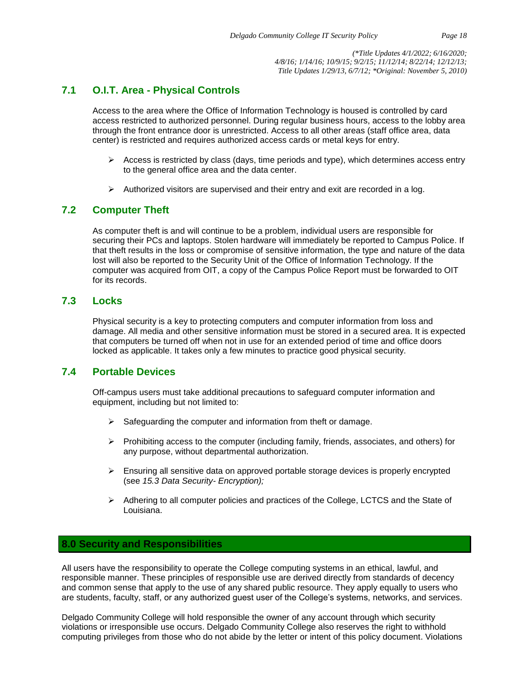## **7.1 O.I.T. Area - Physical Controls**

Access to the area where the Office of Information Technology is housed is controlled by card access restricted to authorized personnel. During regular business hours, access to the lobby area through the front entrance door is unrestricted. Access to all other areas (staff office area, data center) is restricted and requires authorized access cards or metal keys for entry.

- $\triangleright$  Access is restricted by class (days, time periods and type), which determines access entry to the general office area and the data center.
- $\triangleright$  Authorized visitors are supervised and their entry and exit are recorded in a log.

## **7.2 Computer Theft**

As computer theft is and will continue to be a problem, individual users are responsible for securing their PCs and laptops. Stolen hardware will immediately be reported to Campus Police. If that theft results in the loss or compromise of sensitive information, the type and nature of the data lost will also be reported to the Security Unit of the Office of Information Technology. If the computer was acquired from OIT, a copy of the Campus Police Report must be forwarded to OIT for its records.

## **7.3 Locks**

Physical security is a key to protecting computers and computer information from loss and damage. All media and other sensitive information must be stored in a secured area. It is expected that computers be turned off when not in use for an extended period of time and office doors locked as applicable. It takes only a few minutes to practice good physical security.

## **7.4 Portable Devices**

Off-campus users must take additional precautions to safeguard computer information and equipment, including but not limited to:

- $\triangleright$  Safeguarding the computer and information from theft or damage.
- $\triangleright$  Prohibiting access to the computer (including family, friends, associates, and others) for any purpose, without departmental authorization.
- $\triangleright$  Ensuring all sensitive data on approved portable storage devices is properly encrypted (see *15.3 Data Security- Encryption);*
- $\triangleright$  Adhering to all computer policies and practices of the College, LCTCS and the State of Louisiana.

## **8.0 Security and Responsibilities**

All users have the responsibility to operate the College computing systems in an ethical, lawful, and responsible manner. These principles of responsible use are derived directly from standards of decency and common sense that apply to the use of any shared public resource. They apply equally to users who are students, faculty, staff, or any authorized guest user of the College's systems, networks, and services.

Delgado Community College will hold responsible the owner of any account through which security violations or irresponsible use occurs. Delgado Community College also reserves the right to withhold computing privileges from those who do not abide by the letter or intent of this policy document. Violations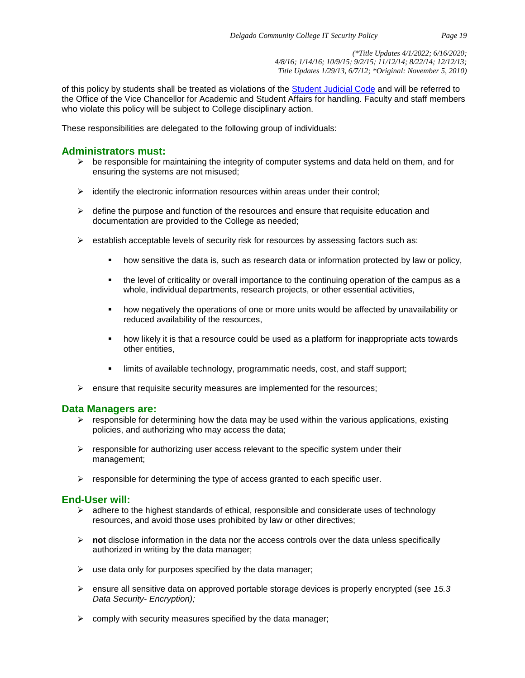of this policy by students shall be treated as violations of the **Student Judicial Code** and will be referred to the Office of the Vice Chancellor for Academic and Student Affairs for handling. Faculty and staff members who violate this policy will be subject to College disciplinary action.

These responsibilities are delegated to the following group of individuals:

## **Administrators must:**

- $\triangleright$  be responsible for maintaining the integrity of computer systems and data held on them, and for ensuring the systems are not misused;
- $\triangleright$  identify the electronic information resources within areas under their control;
- $\triangleright$  define the purpose and function of the resources and ensure that requisite education and documentation are provided to the College as needed;
- $\triangleright$  establish acceptable levels of security risk for resources by assessing factors such as:
	- how sensitive the data is, such as research data or information protected by law or policy,
	- the level of criticality or overall importance to the continuing operation of the campus as a whole, individual departments, research projects, or other essential activities,
	- how negatively the operations of one or more units would be affected by unavailability or reduced availability of the resources,
	- how likely it is that a resource could be used as a platform for inappropriate acts towards other entities,
	- limits of available technology, programmatic needs, cost, and staff support;
- $\triangleright$  ensure that requisite security measures are implemented for the resources;

#### **Data Managers are:**

- $\triangleright$  responsible for determining how the data may be used within the various applications, existing policies, and authorizing who may access the data;
- $\triangleright$  responsible for authorizing user access relevant to the specific system under their management;
- $\triangleright$  responsible for determining the type of access granted to each specific user.

## **End-User will:**

- $\triangleright$  adhere to the highest standards of ethical, responsible and considerate uses of technology resources, and avoid those uses prohibited by law or other directives;
- ➢ **not** disclose information in the data nor the access controls over the data unless specifically authorized in writing by the data manager;
- $\triangleright$  use data only for purposes specified by the data manager;
- ➢ ensure all sensitive data on approved portable storage devices is properly encrypted (see *15.3 Data Security- Encryption);*
- $\triangleright$  comply with security measures specified by the data manager;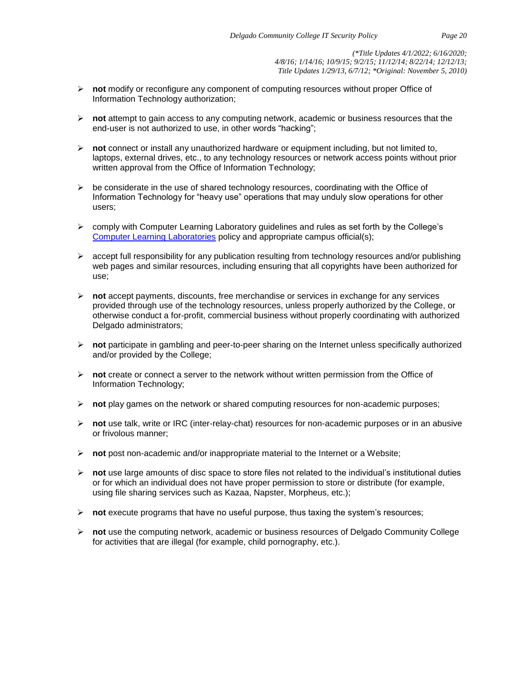- ➢ **not** modify or reconfigure any component of computing resources without proper Office of Information Technology authorization;
- ➢ **not** attempt to gain access to any computing network, academic or business resources that the end-user is not authorized to use, in other words "hacking";
- ➢ **not** connect or install any unauthorized hardware or equipment including, but not limited to, laptops, external drives, etc., to any technology resources or network access points without prior written approval from the Office of Information Technology;
- $\triangleright$  be considerate in the use of shared technology resources, coordinating with the Office of Information Technology for "heavy use" operations that may unduly slow operations for other users;
- $\triangleright$  comply with Computer Learning Laboratory guidelines and rules as set forth by the College's [Computer Learning Laboratories](http://docushare3.dcc.edu/docushare/dsweb/Get/Document-31/) policy and appropriate campus official(s);
- $\triangleright$  accept full responsibility for any publication resulting from technology resources and/or publishing web pages and similar resources, including ensuring that all copyrights have been authorized for use;
- ➢ **not** accept payments, discounts, free merchandise or services in exchange for any services provided through use of the technology resources, unless properly authorized by the College, or otherwise conduct a for-profit, commercial business without properly coordinating with authorized Delgado administrators;
- ➢ **not** participate in gambling and peer-to-peer sharing on the Internet unless specifically authorized and/or provided by the College:
- ➢ **not** create or connect a server to the network without written permission from the Office of Information Technology;
- ➢ **not** play games on the network or shared computing resources for non-academic purposes;
- ➢ **not** use talk, write or IRC (inter-relay-chat) resources for non-academic purposes or in an abusive or frivolous manner;
- ➢ **not** post non-academic and/or inappropriate material to the Internet or a Website;
- ➢ **not** use large amounts of disc space to store files not related to the individual's institutional duties or for which an individual does not have proper permission to store or distribute (for example, using file sharing services such as Kazaa, Napster, Morpheus, etc.);
- ➢ **not** execute programs that have no useful purpose, thus taxing the system's resources;
- ➢ **not** use the computing network, academic or business resources of Delgado Community College for activities that are illegal (for example, child pornography, etc.).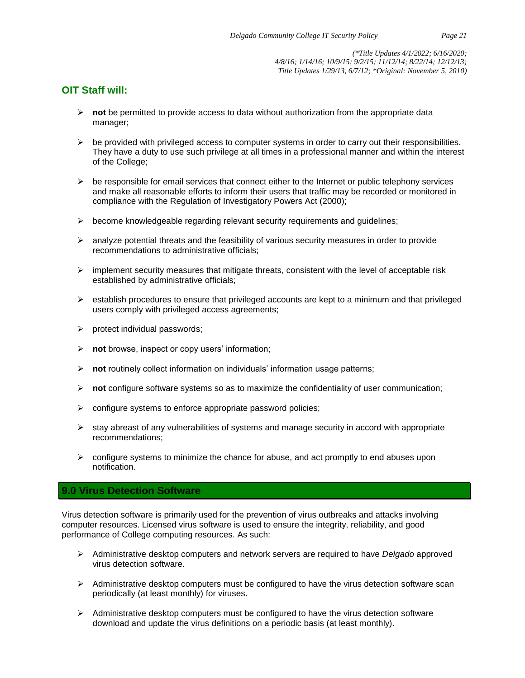## **OIT Staff will:**

- ➢ **not** be permitted to provide access to data without authorization from the appropriate data manager;
- $\triangleright$  be provided with privileged access to computer systems in order to carry out their responsibilities. They have a duty to use such privilege at all times in a professional manner and within the interest of the College;
- $\triangleright$  be responsible for email services that connect either to the Internet or public telephony services and make all reasonable efforts to inform their users that traffic may be recorded or monitored in compliance with the Regulation of Investigatory Powers Act (2000);
- $\triangleright$  become knowledgeable regarding relevant security requirements and guidelines;
- $\triangleright$  analyze potential threats and the feasibility of various security measures in order to provide recommendations to administrative officials;
- $\triangleright$  implement security measures that mitigate threats, consistent with the level of acceptable risk established by administrative officials;
- $\triangleright$  establish procedures to ensure that privileged accounts are kept to a minimum and that privileged users comply with privileged access agreements;
- ➢ protect individual passwords;
- ➢ **not** browse, inspect or copy users' information;
- ➢ **not** routinely collect information on individuals' information usage patterns;
- ➢ **not** configure software systems so as to maximize the confidentiality of user communication;
- $\triangleright$  configure systems to enforce appropriate password policies;
- $\triangleright$  stay abreast of any vulnerabilities of systems and manage security in accord with appropriate recommendations;
- $\triangleright$  configure systems to minimize the chance for abuse, and act promptly to end abuses upon notification.

## **9.0 Virus Detection Software**

Virus detection software is primarily used for the prevention of virus outbreaks and attacks involving computer resources. Licensed virus software is used to ensure the integrity, reliability, and good performance of College computing resources. As such:

- ➢ Administrative desktop computers and network servers are required to have *Delgado* approved virus detection software.
- $\triangleright$  Administrative desktop computers must be configured to have the virus detection software scan periodically (at least monthly) for viruses.
- $\triangleright$  Administrative desktop computers must be configured to have the virus detection software download and update the virus definitions on a periodic basis (at least monthly).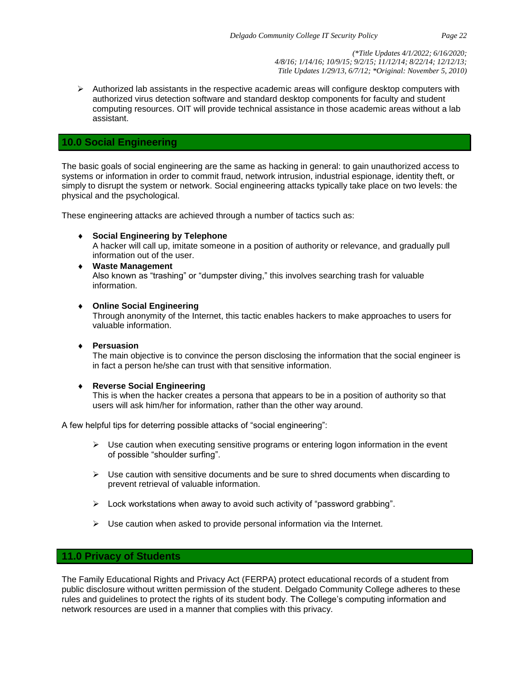$\triangleright$  Authorized lab assistants in the respective academic areas will configure desktop computers with authorized virus detection software and standard desktop components for faculty and student computing resources. OIT will provide technical assistance in those academic areas without a lab assistant.

#### **10.0 Social Engineering**

The basic goals of social engineering are the same as hacking in general: to gain unauthorized access to systems or information in order to commit fraud, network intrusion, industrial espionage, identity theft, or simply to disrupt the system or network. Social engineering attacks typically take place on two levels: the physical and the psychological.

These engineering attacks are achieved through a number of tactics such as:

**Social Engineering by Telephone**

A hacker will call up, imitate someone in a position of authority or relevance, and gradually pull information out of the user.

 **Waste Management** Also known as "trashing" or "dumpster diving," this involves searching trash for valuable information.

#### **Online Social Engineering**

Through anonymity of the Internet, this tactic enables hackers to make approaches to users for valuable information.

**Persuasion**

The main objective is to convince the person disclosing the information that the social engineer is in fact a person he/she can trust with that sensitive information.

#### **Reverse Social Engineering**

This is when the hacker creates a persona that appears to be in a position of authority so that users will ask him/her for information, rather than the other way around.

A few helpful tips for deterring possible attacks of "social engineering":

- $\triangleright$  Use caution when executing sensitive programs or entering logon information in the event of possible "shoulder surfing".
- $\triangleright$  Use caution with sensitive documents and be sure to shred documents when discarding to prevent retrieval of valuable information.
- ➢ Lock workstations when away to avoid such activity of "password grabbing".
- $\triangleright$  Use caution when asked to provide personal information via the Internet.

## **11.0 Privacy of Students**

The Family Educational Rights and Privacy Act (FERPA) protect educational records of a student from public disclosure without written permission of the student. Delgado Community College adheres to these rules and guidelines to protect the rights of its student body. The College's computing information and network resources are used in a manner that complies with this privacy.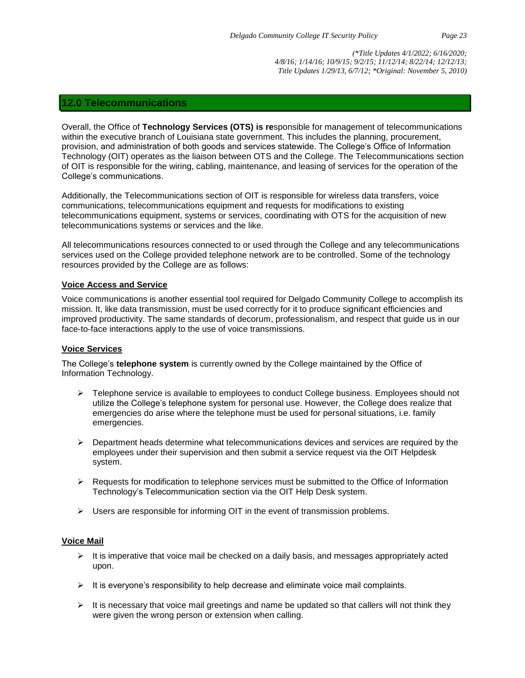## **12.0 Telecommunications**

Overall, the Office of **Technology Services (OTS) is re**sponsible for management of telecommunications within the executive branch of Louisiana state government. This includes the planning, procurement, provision, and administration of both goods and services statewide. The College's Office of Information Technology (OIT) operates as the liaison between OTS and the College. The Telecommunications section of OIT is responsible for the wiring, cabling, maintenance, and leasing of services for the operation of the College's communications.

Additionally, the Telecommunications section of OIT is responsible for wireless data transfers, voice communications, telecommunications equipment and requests for modifications to existing telecommunications equipment, systems or services, coordinating with OTS for the acquisition of new telecommunications systems or services and the like.

All telecommunications resources connected to or used through the College and any telecommunications services used on the College provided telephone network are to be controlled. Some of the technology resources provided by the College are as follows:

#### **Voice Access and Service**

Voice communications is another essential tool required for Delgado Community College to accomplish its mission. It, like data transmission, must be used correctly for it to produce significant efficiencies and improved productivity. The same standards of decorum, professionalism, and respect that guide us in our face-to-face interactions apply to the use of voice transmissions.

#### **Voice Services**

The College's **telephone system** is currently owned by the College maintained by the Office of Information Technology.

- $\triangleright$  Telephone service is available to employees to conduct College business. Employees should not utilize the College's telephone system for personal use. However, the College does realize that emergencies do arise where the telephone must be used for personal situations, i.e. family emergencies.
- $\triangleright$  Department heads determine what telecommunications devices and services are required by the employees under their supervision and then submit a service request via the OIT Helpdesk system.
- $\triangleright$  Requests for modification to telephone services must be submitted to the Office of Information Technology's Telecommunication section via the OIT Help Desk system.
- $\triangleright$  Users are responsible for informing OIT in the event of transmission problems.

#### **Voice Mail**

- $\triangleright$  It is imperative that voice mail be checked on a daily basis, and messages appropriately acted upon.
- $\triangleright$  It is everyone's responsibility to help decrease and eliminate voice mail complaints.
- $\triangleright$  It is necessary that voice mail greetings and name be updated so that callers will not think they were given the wrong person or extension when calling.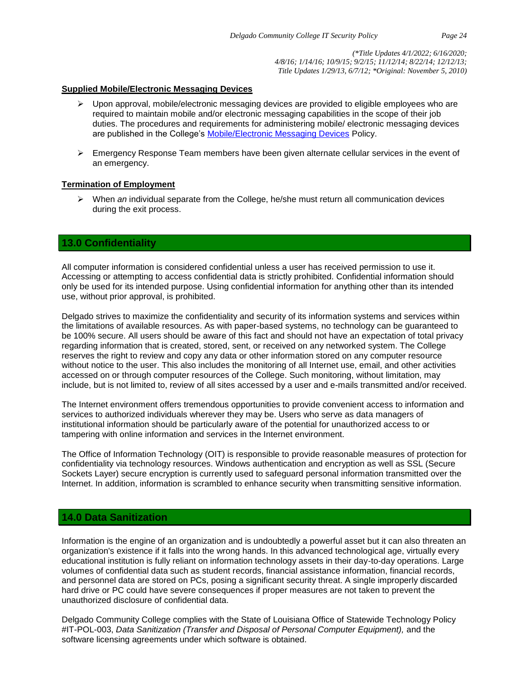#### **Supplied Mobile/Electronic Messaging Devices**

- $\triangleright$  Upon approval, mobile/electronic messaging devices are provided to eligible employees who are required to maintain mobile and/or electronic messaging capabilities in the scope of their job duties. The procedures and requirements for administering mobile/ electronic messaging devices are published in the College's [Mobile/Electronic Messaging Devices](http://docushare3.dcc.edu/docushare/dsweb/Get/Document-1061/IT-001.pdf) Policy.
- $\triangleright$  Emergency Response Team members have been given alternate cellular services in the event of an emergency.

#### **Termination of Employment**

➢ When *an* individual separate from the College, he/she must return all communication devices during the exit process.

## **13.0 Confidentiality**

All computer information is considered confidential unless a user has received permission to use it. Accessing or attempting to access confidential data is strictly prohibited. Confidential information should only be used for its intended purpose. Using confidential information for anything other than its intended use, without prior approval, is prohibited.

Delgado strives to maximize the confidentiality and security of its information systems and services within the limitations of available resources. As with paper-based systems, no technology can be guaranteed to be 100% secure. All users should be aware of this fact and should not have an expectation of total privacy regarding information that is created, stored, sent, or received on any networked system. The College reserves the right to review and copy any data or other information stored on any computer resource without notice to the user. This also includes the monitoring of all Internet use, email, and other activities accessed on or through computer resources of the College. Such monitoring, without limitation, may include, but is not limited to, review of all sites accessed by a user and e-mails transmitted and/or received.

The Internet environment offers tremendous opportunities to provide convenient access to information and services to authorized individuals wherever they may be. Users who serve as data managers of institutional information should be particularly aware of the potential for unauthorized access to or tampering with online information and services in the Internet environment.

The Office of Information Technology (OIT) is responsible to provide reasonable measures of protection for confidentiality via technology resources. Windows authentication and encryption as well as SSL (Secure Sockets Layer) secure encryption is currently used to safeguard personal information transmitted over the Internet. In addition, information is scrambled to enhance security when transmitting sensitive information.

## **14.0 Data Sanitization**

Information is the engine of an organization and is undoubtedly a powerful asset but it can also threaten an organization's existence if it falls into the wrong hands. In this advanced technological age, virtually every educational institution is fully reliant on information technology assets in their day-to-day operations. Large volumes of confidential data such as student records, financial assistance information, financial records, and personnel data are stored on PCs, posing a significant security threat. A single improperly discarded hard drive or PC could have severe consequences if proper measures are not taken to prevent the unauthorized disclosure of confidential data.

Delgado Community College complies with the State of Louisiana Office of Statewide Technology Policy #IT-POL-003, *Data Sanitization (Transfer and Disposal of Personal Computer Equipment),* and the software licensing agreements under which software is obtained.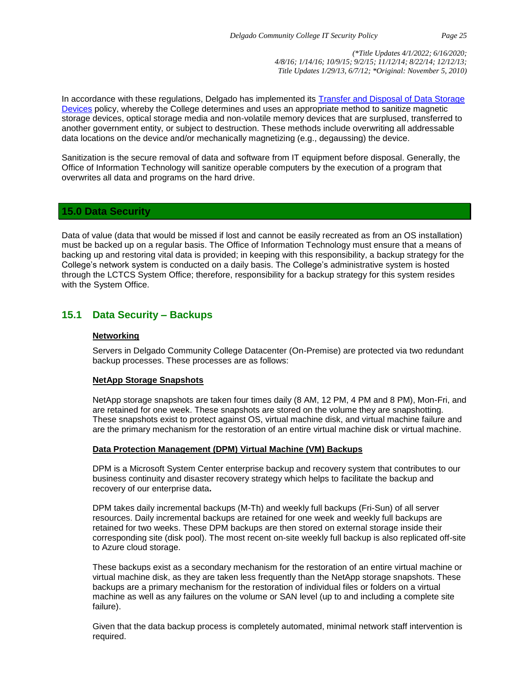In accordance with these regulations, Delgado has implemented its [Transfer and Disposal of Data Storage](http://docushare3.dcc.edu/docushare/dsweb/Get/Document-1849/)  [Devices](http://docushare3.dcc.edu/docushare/dsweb/Get/Document-1849/) policy, whereby the College determines and uses an appropriate method to sanitize magnetic storage devices, optical storage media and non-volatile memory devices that are surplused, transferred to another government entity, or subject to destruction. These methods include overwriting all addressable data locations on the device and/or mechanically magnetizing (e.g., degaussing) the device.

Sanitization is the secure removal of data and software from IT equipment before disposal. Generally, the Office of Information Technology will sanitize operable computers by the execution of a program that overwrites all data and programs on the hard drive.

#### **15.0 Data Security**

Data of value (data that would be missed if lost and cannot be easily recreated as from an OS installation) must be backed up on a regular basis. The Office of Information Technology must ensure that a means of backing up and restoring vital data is provided; in keeping with this responsibility, a backup strategy for the College's network system is conducted on a daily basis. The College's administrative system is hosted through the LCTCS System Office; therefore, responsibility for a backup strategy for this system resides with the System Office.

## **15.1 Data Security – Backups**

#### **Networking**

Servers in Delgado Community College Datacenter (On-Premise) are protected via two redundant backup processes. These processes are as follows:

#### **NetApp Storage Snapshots**

NetApp storage snapshots are taken four times daily (8 AM, 12 PM, 4 PM and 8 PM), Mon-Fri, and are retained for one week. These snapshots are stored on the volume they are snapshotting. These snapshots exist to protect against OS, virtual machine disk, and virtual machine failure and are the primary mechanism for the restoration of an entire virtual machine disk or virtual machine.

#### **Data Protection Management (DPM) Virtual Machine (VM) Backups**

DPM is a Microsoft System Center enterprise backup and recovery system that contributes to our business continuity and disaster recovery strategy which helps to facilitate the backup and recovery of our enterprise data**.** 

DPM takes daily incremental backups (M-Th) and weekly full backups (Fri-Sun) of all server resources. Daily incremental backups are retained for one week and weekly full backups are retained for two weeks. These DPM backups are then stored on external storage inside their corresponding site (disk pool). The most recent on-site weekly full backup is also replicated off-site to Azure cloud storage.

These backups exist as a secondary mechanism for the restoration of an entire virtual machine or virtual machine disk, as they are taken less frequently than the NetApp storage snapshots. These backups are a primary mechanism for the restoration of individual files or folders on a virtual machine as well as any failures on the volume or SAN level (up to and including a complete site failure).

Given that the data backup process is completely automated, minimal network staff intervention is required.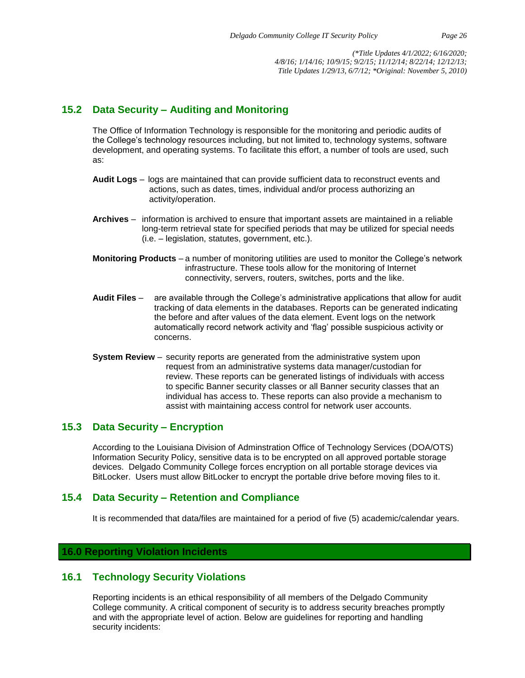## **15.2 Data Security – Auditing and Monitoring**

The Office of Information Technology is responsible for the monitoring and periodic audits of the College's technology resources including, but not limited to, technology systems, software development, and operating systems. To facilitate this effort, a number of tools are used, such as:

- **Audit Logs** logs are maintained that can provide sufficient data to reconstruct events and actions, such as dates, times, individual and/or process authorizing an activity/operation.
- **Archives** information is archived to ensure that important assets are maintained in a reliable long-term retrieval state for specified periods that may be utilized for special needs (i.e. – legislation, statutes, government, etc.).
- **Monitoring Products** a number of monitoring utilities are used to monitor the College's network infrastructure. These tools allow for the monitoring of Internet connectivity, servers, routers, switches, ports and the like.
- **Audit Files** are available through the College's administrative applications that allow for audit tracking of data elements in the databases. Reports can be generated indicating the before and after values of the data element. Event logs on the network automatically record network activity and 'flag' possible suspicious activity or concerns.
- **System Review** security reports are generated from the administrative system upon request from an administrative systems data manager/custodian for review. These reports can be generated listings of individuals with access to specific Banner security classes or all Banner security classes that an individual has access to. These reports can also provide a mechanism to assist with maintaining access control for network user accounts.

## **15.3 Data Security – Encryption**

[According to the Louisiana Division of Adminstration Office of Technology Services \(DOA/OTS\)](https://www.doa.la.gov/Pages/ots/Policies.aspx) [Information Security Policy,](https://www.doa.la.gov/Pages/ots/Policies.aspx) sensitive data is to be encrypted on all approved portable storage devices. Delgado Community College forces encryption on all portable storage devices via BitLocker. Users must allow BitLocker to encrypt the portable drive before moving files to it.

## **15.4 Data Security – Retention and Compliance**

It is recommended that data/files are maintained for a period of five (5) academic/calendar years.

## **16.0 Reporting Violation Incidents**

## **16.1 Technology Security Violations**

Reporting incidents is an ethical responsibility of all members of the Delgado Community College community. A critical component of security is to address security breaches promptly and with the appropriate level of action. Below are guidelines for reporting and handling security incidents: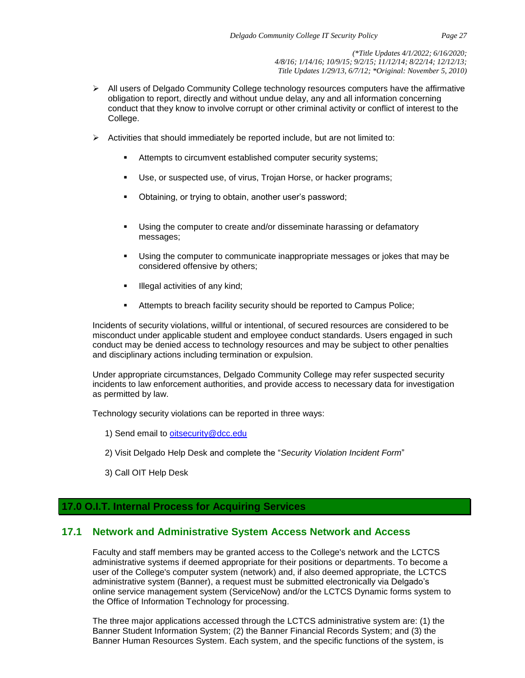- ➢ All users of Delgado Community College technology resources computers have the affirmative obligation to report, directly and without undue delay, any and all information concerning conduct that they know to involve corrupt or other criminal activity or conflict of interest to the College.
- $\triangleright$  Activities that should immediately be reported include, but are not limited to:
	- Attempts to circumvent established computer security systems;
	- Use, or suspected use, of virus, Trojan Horse, or hacker programs;
	- Obtaining, or trying to obtain, another user's password;
	- Using the computer to create and/or disseminate harassing or defamatory messages;
	- Using the computer to communicate inappropriate messages or jokes that may be considered offensive by others;
	- **·** Illegal activities of any kind;
	- Attempts to breach facility security should be reported to Campus Police;

Incidents of security violations, willful or intentional, of secured resources are considered to be misconduct under applicable student and employee conduct standards. Users engaged in such conduct may be denied access to technology resources and may be subject to other penalties and disciplinary actions including termination or expulsion.

Under appropriate circumstances, Delgado Community College may refer suspected security incidents to law enforcement authorities, and provide access to necessary data for investigation as permitted by law.

Technology security violations can be reported in three ways:

- 1) Send email to [oitsecurity@dcc.edu](mailto:oitsecurity@dcc.edu)
- 2) Visit Delgado Help Desk and complete the "*Security Violation Incident Form*"
- 3) Call OIT Help Desk

## **17.0 O.I.T. Internal Process for Acquiring Services**

## **17.1 Network and Administrative System Access Network and Access**

Faculty and staff members may be granted access to the College's network and the LCTCS administrative systems if deemed appropriate for their positions or departments. To become a user of the College's computer system (network) and, if also deemed appropriate, the LCTCS administrative system (Banner), a request must be submitted electronically via Delgado's online service management system (ServiceNow) and/or the LCTCS Dynamic forms system to the Office of Information Technology for processing.

The three major applications accessed through the LCTCS administrative system are: (1) the Banner Student Information System; (2) the Banner Financial Records System; and (3) the Banner Human Resources System. Each system, and the specific functions of the system, is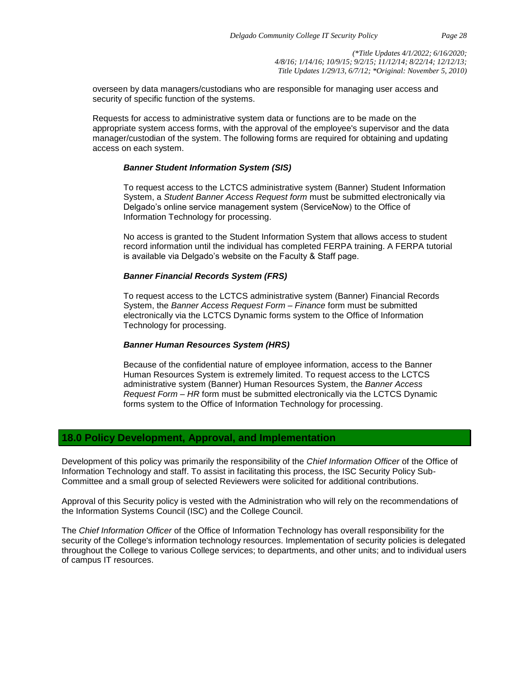overseen by data managers/custodians who are responsible for managing user access and security of specific function of the systems.

Requests for access to administrative system data or functions are to be made on the appropriate system access forms, with the approval of the employee's supervisor and the data manager/custodian of the system. The following forms are required for obtaining and updating access on each system.

#### *Banner Student Information System (SIS)*

To request access to the LCTCS administrative system (Banner) Student Information System, a *Student Banner Access Request form* must be submitted electronically via Delgado's online service management system (ServiceNow) to the Office of Information Technology for processing.

No access is granted to the Student Information System that allows access to student record information until the individual has completed FERPA training. A FERPA tutorial is available via Delgado's website on the Faculty & Staff page.

#### *Banner Financial Records System (FRS)*

To request access to the LCTCS administrative system (Banner) Financial Records System, the *Banner Access Request Form – Finance* form must be submitted electronically via the LCTCS Dynamic forms system to the Office of Information Technology for processing.

#### *Banner Human Resources System (HRS)*

Because of the confidential nature of employee information, access to the Banner Human Resources System is extremely limited. To request access to the LCTCS administrative system (Banner) Human Resources System, the *Banner Access Request Form – HR* form must be submitted electronically via the LCTCS Dynamic forms system to the Office of Information Technology for processing.

## **18.0 Policy Development, Approval, and Implementation**

Development of this policy was primarily the responsibility of the *Chief Information Officer* of the Office of Information Technology and staff. To assist in facilitating this process, the ISC Security Policy Sub-Committee and a small group of selected Reviewers were solicited for additional contributions.

Approval of this Security policy is vested with the Administration who will rely on the recommendations of the Information Systems Council (ISC) and the College Council.

The *Chief Information Officer* of the Office of Information Technology has overall responsibility for the security of the College's information technology resources. Implementation of security policies is delegated throughout the College to various College services; to departments, and other units; and to individual users of campus IT resources.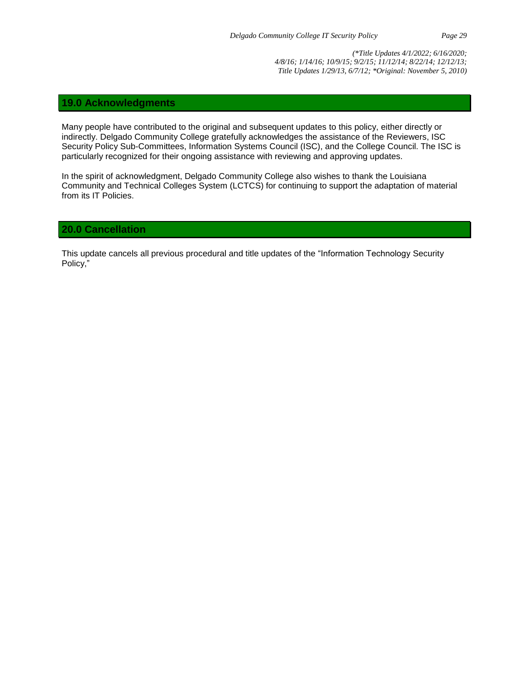#### **19.0 Acknowledgments**

Many people have contributed to the original and subsequent updates to this policy, either directly or indirectly. Delgado Community College gratefully acknowledges the assistance of the Reviewers, ISC Security Policy Sub-Committees, Information Systems Council (ISC), and the College Council. The ISC is particularly recognized for their ongoing assistance with reviewing and approving updates.

In the spirit of acknowledgment, Delgado Community College also wishes to thank the Louisiana Community and Technical Colleges System (LCTCS) for continuing to support the adaptation of material from its IT Policies.

#### **20.0 Cancellation**

This update cancels all previous procedural and title updates of the "Information Technology Security Policy,"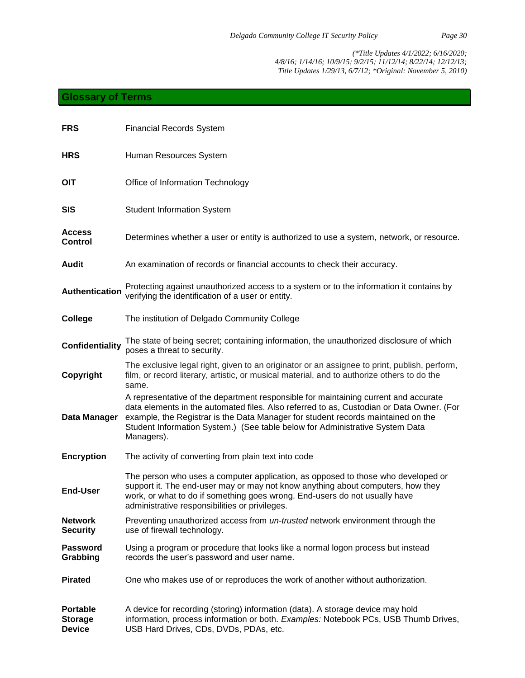## **Glossary of Terms**

| <b>FRS</b>                                         | <b>Financial Records System</b>                                                                                                                                                                                                                                                                                                                                   |
|----------------------------------------------------|-------------------------------------------------------------------------------------------------------------------------------------------------------------------------------------------------------------------------------------------------------------------------------------------------------------------------------------------------------------------|
| <b>HRS</b>                                         | Human Resources System                                                                                                                                                                                                                                                                                                                                            |
| <b>OIT</b>                                         | Office of Information Technology                                                                                                                                                                                                                                                                                                                                  |
| <b>SIS</b>                                         | <b>Student Information System</b>                                                                                                                                                                                                                                                                                                                                 |
| <b>Access</b><br><b>Control</b>                    | Determines whether a user or entity is authorized to use a system, network, or resource.                                                                                                                                                                                                                                                                          |
| <b>Audit</b>                                       | An examination of records or financial accounts to check their accuracy.                                                                                                                                                                                                                                                                                          |
| <b>Authentication</b>                              | Protecting against unauthorized access to a system or to the information it contains by<br>verifying the identification of a user or entity.                                                                                                                                                                                                                      |
| College                                            | The institution of Delgado Community College                                                                                                                                                                                                                                                                                                                      |
| <b>Confidentiality</b>                             | The state of being secret; containing information, the unauthorized disclosure of which<br>poses a threat to security.                                                                                                                                                                                                                                            |
| Copyright                                          | The exclusive legal right, given to an originator or an assignee to print, publish, perform,<br>film, or record literary, artistic, or musical material, and to authorize others to do the<br>same.                                                                                                                                                               |
| Data Manager                                       | A representative of the department responsible for maintaining current and accurate<br>data elements in the automated files. Also referred to as, Custodian or Data Owner. (For<br>example, the Registrar is the Data Manager for student records maintained on the<br>Student Information System.) (See table below for Administrative System Data<br>Managers). |
| <b>Encryption</b>                                  | The activity of converting from plain text into code                                                                                                                                                                                                                                                                                                              |
| <b>End-User</b>                                    | The person who uses a computer application, as opposed to those who developed or<br>support it. The end-user may or may not know anything about computers, how they<br>work, or what to do if something goes wrong. End-users do not usually have<br>administrative responsibilities or privileges.                                                               |
| <b>Network</b><br><b>Security</b>                  | Preventing unauthorized access from <i>un-trusted</i> network environment through the<br>use of firewall technology.                                                                                                                                                                                                                                              |
| <b>Password</b><br>Grabbing                        | Using a program or procedure that looks like a normal logon process but instead<br>records the user's password and user name.                                                                                                                                                                                                                                     |
| <b>Pirated</b>                                     | One who makes use of or reproduces the work of another without authorization.                                                                                                                                                                                                                                                                                     |
| <b>Portable</b><br><b>Storage</b><br><b>Device</b> | A device for recording (storing) information (data). A storage device may hold<br>information, process information or both. Examples: Notebook PCs, USB Thumb Drives,<br>USB Hard Drives, CDs, DVDs, PDAs, etc.                                                                                                                                                   |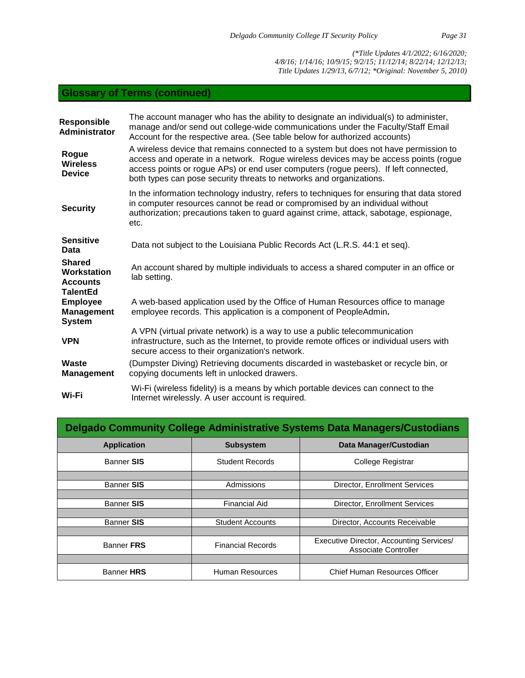# **Glossary of Terms (continued)**

| <b>Responsible</b><br><b>Administrator</b>                         | The account manager who has the ability to designate an individual(s) to administer,<br>manage and/or send out college-wide communications under the Faculty/Staff Email<br>Account for the respective area. (See table below for authorized accounts)                                                                                    |
|--------------------------------------------------------------------|-------------------------------------------------------------------------------------------------------------------------------------------------------------------------------------------------------------------------------------------------------------------------------------------------------------------------------------------|
| Rogue<br><b>Wireless</b><br><b>Device</b>                          | A wireless device that remains connected to a system but does not have permission to<br>access and operate in a network. Rogue wireless devices may be access points (rogue<br>access points or rogue APs) or end user computers (rogue peers). If left connected,<br>both types can pose security threats to networks and organizations. |
| <b>Security</b>                                                    | In the information technology industry, refers to techniques for ensuring that data stored<br>in computer resources cannot be read or compromised by an individual without<br>authorization; precautions taken to guard against crime, attack, sabotage, espionage,<br>etc.                                                               |
| <b>Sensitive</b><br>Data                                           | Data not subject to the Louisiana Public Records Act (L.R.S. 44:1 et seq).                                                                                                                                                                                                                                                                |
| <b>Shared</b><br>Workstation<br><b>Accounts</b><br><b>TalentEd</b> | An account shared by multiple individuals to access a shared computer in an office or<br>lab setting.                                                                                                                                                                                                                                     |
| <b>Employee</b><br><b>Management</b><br><b>System</b>              | A web-based application used by the Office of Human Resources office to manage<br>employee records. This application is a component of PeopleAdmin.                                                                                                                                                                                       |
| <b>VPN</b>                                                         | A VPN (virtual private network) is a way to use a public telecommunication<br>infrastructure, such as the Internet, to provide remote offices or individual users with<br>secure access to their organization's network.                                                                                                                  |
| Waste<br><b>Management</b>                                         | (Dumpster Diving) Retrieving documents discarded in wastebasket or recycle bin, or<br>copying documents left in unlocked drawers.                                                                                                                                                                                                         |
| Wi-Fi                                                              | Wi-Fi (wireless fidelity) is a means by which portable devices can connect to the<br>Internet wirelessly. A user account is required.                                                                                                                                                                                                     |
|                                                                    |                                                                                                                                                                                                                                                                                                                                           |

| Delgado Community College Administrative Systems Data Managers/Custodians |                          |                                                                  |  |
|---------------------------------------------------------------------------|--------------------------|------------------------------------------------------------------|--|
| <b>Application</b>                                                        | <b>Subsystem</b>         | <b>Data Manager/Custodian</b>                                    |  |
| Banner SIS                                                                | <b>Student Records</b>   | College Registrar                                                |  |
|                                                                           |                          |                                                                  |  |
| <b>Banner SIS</b>                                                         | Admissions               | Director, Enrollment Services                                    |  |
|                                                                           |                          |                                                                  |  |
| <b>Banner SIS</b>                                                         | <b>Financial Aid</b>     | Director, Enrollment Services                                    |  |
|                                                                           |                          |                                                                  |  |
| <b>Banner SIS</b>                                                         | <b>Student Accounts</b>  | Director, Accounts Receivable                                    |  |
|                                                                           |                          |                                                                  |  |
| Banner FRS                                                                | <b>Financial Records</b> | Executive Director, Accounting Services/<br>Associate Controller |  |
|                                                                           |                          |                                                                  |  |
| Banner HRS                                                                | Human Resources          | <b>Chief Human Resources Officer</b>                             |  |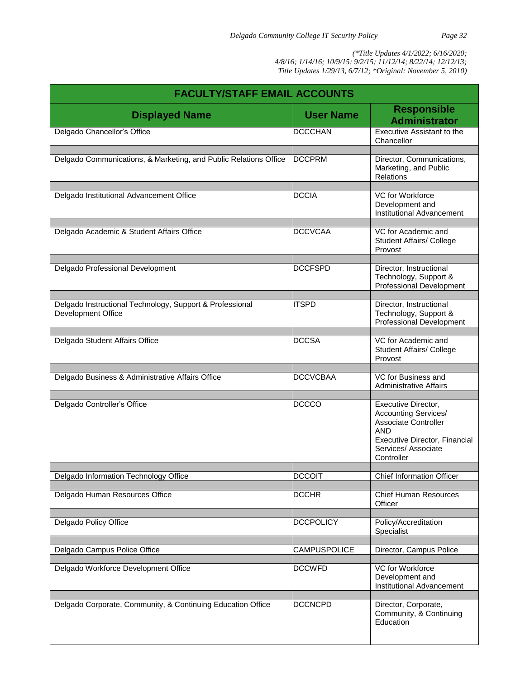| <b>FACULTY/STAFF EMAIL ACCOUNTS</b>                                            |                  |                                                                                                                                                                |  |
|--------------------------------------------------------------------------------|------------------|----------------------------------------------------------------------------------------------------------------------------------------------------------------|--|
| <b>Displayed Name</b>                                                          | <b>User Name</b> | <b>Responsible</b><br><b>Administrator</b>                                                                                                                     |  |
| Delgado Chancellor's Office                                                    | <b>DCCCHAN</b>   | Executive Assistant to the<br>Chancellor                                                                                                                       |  |
| Delgado Communications, & Marketing, and Public Relations Office               | <b>DCCPRM</b>    | Director, Communications,<br>Marketing, and Public<br>Relations                                                                                                |  |
|                                                                                |                  |                                                                                                                                                                |  |
| Delgado Institutional Advancement Office                                       | <b>DCCIA</b>     | VC for Workforce<br>Development and<br>Institutional Advancement                                                                                               |  |
| Delgado Academic & Student Affairs Office                                      | <b>DCCVCAA</b>   | VC for Academic and<br><b>Student Affairs/ College</b><br>Provost                                                                                              |  |
| Delgado Professional Development                                               | <b>DCCFSPD</b>   | Director, Instructional<br>Technology, Support &<br>Professional Development                                                                                   |  |
|                                                                                |                  |                                                                                                                                                                |  |
| Delgado Instructional Technology, Support & Professional<br>Development Office | <b>ITSPD</b>     | Director, Instructional<br>Technology, Support &<br><b>Professional Development</b>                                                                            |  |
| Delgado Student Affairs Office                                                 | <b>DCCSA</b>     | VC for Academic and<br>Student Affairs/ College<br>Provost                                                                                                     |  |
| Delgado Business & Administrative Affairs Office                               | <b>DCCVCBAA</b>  | VC for Business and                                                                                                                                            |  |
|                                                                                |                  | <b>Administrative Affairs</b>                                                                                                                                  |  |
| Delgado Controller's Office                                                    | <b>DCCCO</b>     | Executive Director,<br><b>Accounting Services/</b><br><b>Associate Controller</b><br>AND<br>Executive Director, Financial<br>Services/ Associate<br>Controller |  |
| Delgado Information Technology Office                                          | <b>DCCOIT</b>    | <b>Chief Information Officer</b>                                                                                                                               |  |
| Delgado Human Resources Office                                                 | <b>DCCHR</b>     | <b>Chief Human Resources</b><br>Officer                                                                                                                        |  |
| Delgado Policy Office                                                          | <b>DCCPOLICY</b> | Policy/Accreditation<br>Specialist                                                                                                                             |  |
| Delgado Campus Police Office                                                   | CAMPUSPOLICE     | Director, Campus Police                                                                                                                                        |  |
|                                                                                |                  |                                                                                                                                                                |  |
| Delgado Workforce Development Office                                           | <b>DCCWFD</b>    | VC for Workforce<br>Development and<br>Institutional Advancement                                                                                               |  |
| Delgado Corporate, Community, & Continuing Education Office                    | <b>DCCNCPD</b>   | Director, Corporate,<br>Community, & Continuing<br>Education                                                                                                   |  |